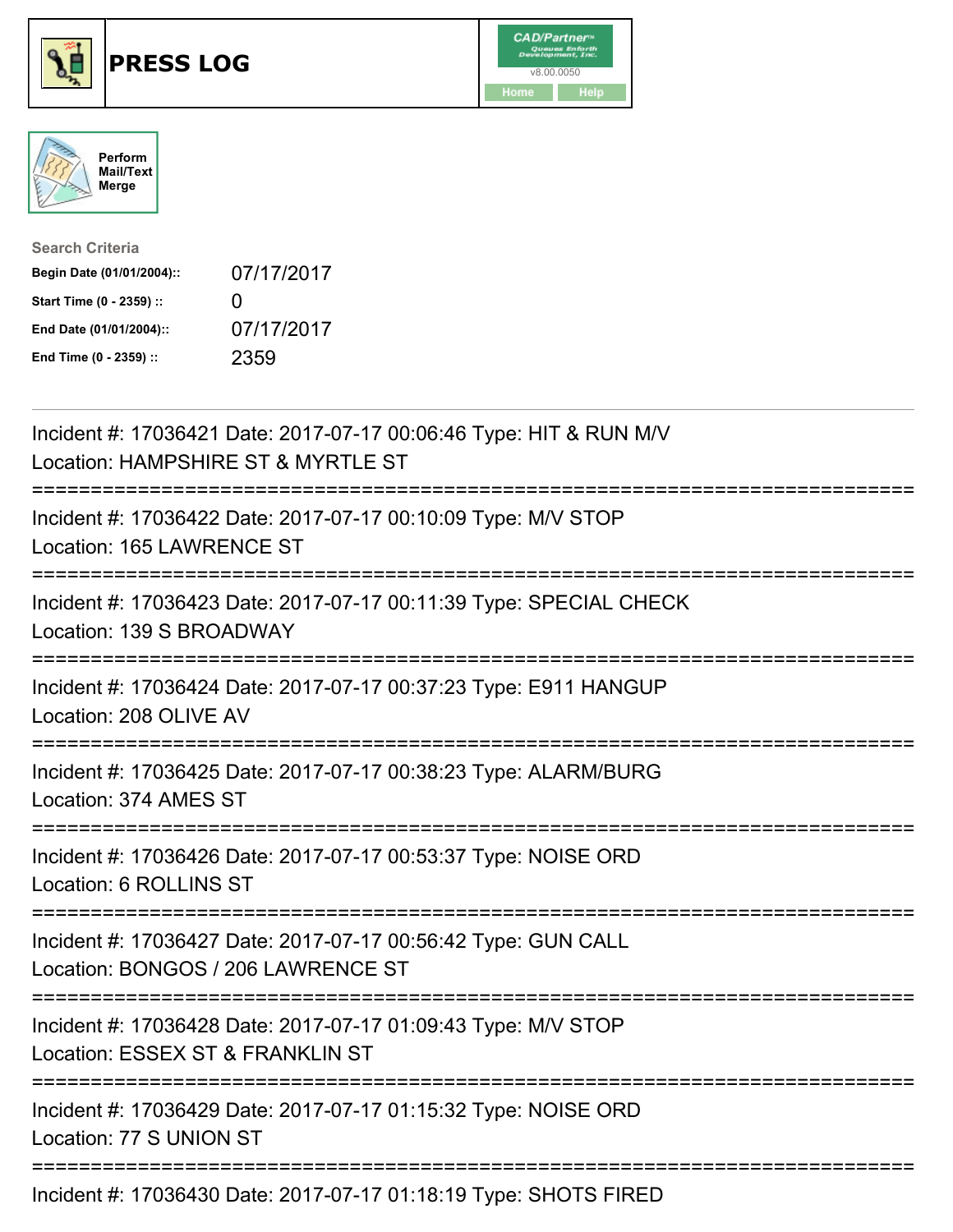





| <b>Search Criteria</b>    |              |
|---------------------------|--------------|
| Begin Date (01/01/2004):: | 07/17/2017   |
| Start Time (0 - 2359) ::  | $\mathbf{0}$ |
| End Date (01/01/2004)::   | 07/17/2017   |
| End Time (0 - 2359) ::    | 2359         |

| Incident #: 17036421 Date: 2017-07-17 00:06:46 Type: HIT & RUN M/V<br>Location: HAMPSHIRE ST & MYRTLE ST                              |
|---------------------------------------------------------------------------------------------------------------------------------------|
| Incident #: 17036422 Date: 2017-07-17 00:10:09 Type: M/V STOP<br>Location: 165 LAWRENCE ST                                            |
| Incident #: 17036423 Date: 2017-07-17 00:11:39 Type: SPECIAL CHECK<br>Location: 139 S BROADWAY                                        |
| Incident #: 17036424 Date: 2017-07-17 00:37:23 Type: E911 HANGUP<br>Location: 208 OLIVE AV                                            |
| Incident #: 17036425 Date: 2017-07-17 00:38:23 Type: ALARM/BURG<br>Location: 374 AMES ST                                              |
| Incident #: 17036426 Date: 2017-07-17 00:53:37 Type: NOISE ORD<br>Location: 6 ROLLINS ST                                              |
| Incident #: 17036427 Date: 2017-07-17 00:56:42 Type: GUN CALL<br>Location: BONGOS / 206 LAWRENCE ST<br>;============================= |
| Incident #: 17036428 Date: 2017-07-17 01:09:43 Type: M/V STOP<br>Location: ESSEX ST & FRANKLIN ST<br>============                     |
| ;============================<br>Incident #: 17036429 Date: 2017-07-17 01:15:32 Type: NOISE ORD<br>Location: 77 S UNION ST            |
| Incident #: 17036430 Date: 2017-07-17 01:18:19 Type: SHOTS FIRED                                                                      |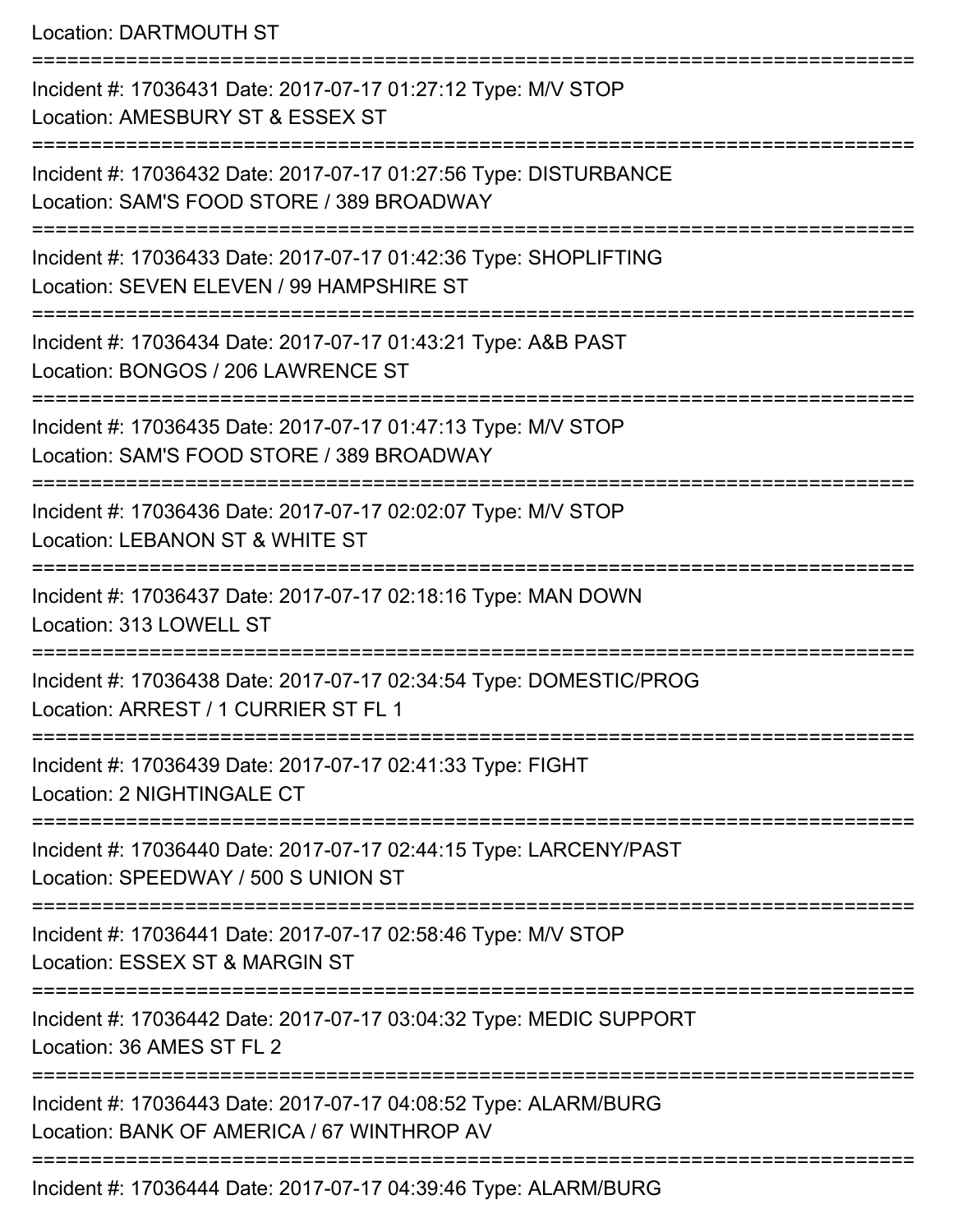Location: DARTMOUTH ST

=========================================================================== Incident #: 17036431 Date: 2017-07-17 01:27:12 Type: M/V STOP Location: AMESBURY ST & ESSEX ST =========================================================================== Incident #: 17036432 Date: 2017-07-17 01:27:56 Type: DISTURBANCE Location: SAM'S FOOD STORE / 389 BROADWAY =========================================================================== Incident #: 17036433 Date: 2017-07-17 01:42:36 Type: SHOPLIFTING Location: SEVEN ELEVEN / 99 HAMPSHIRE ST =========================================================================== Incident #: 17036434 Date: 2017-07-17 01:43:21 Type: A&B PAST Location: BONGOS / 206 LAWRENCE ST **=========================** Incident #: 17036435 Date: 2017-07-17 01:47:13 Type: M/V STOP Location: SAM'S FOOD STORE / 389 BROADWAY =========================================================================== Incident #: 17036436 Date: 2017-07-17 02:02:07 Type: M/V STOP Location: LEBANON ST & WHITE ST =========================================================================== Incident #: 17036437 Date: 2017-07-17 02:18:16 Type: MAN DOWN Location: 313 LOWELL ST =========================================================================== Incident #: 17036438 Date: 2017-07-17 02:34:54 Type: DOMESTIC/PROG Location: ARREST / 1 CURRIER ST FL 1 =========================================================================== Incident #: 17036439 Date: 2017-07-17 02:41:33 Type: FIGHT Location: 2 NIGHTINGALE CT =========================================================================== Incident #: 17036440 Date: 2017-07-17 02:44:15 Type: LARCENY/PAST Location: SPEEDWAY / 500 S UNION ST =========================================================================== Incident #: 17036441 Date: 2017-07-17 02:58:46 Type: M/V STOP Location: ESSEX ST & MARGIN ST =========================================================================== Incident #: 17036442 Date: 2017-07-17 03:04:32 Type: MEDIC SUPPORT Location: 36 AMES ST FL 2 =========================================================================== Incident #: 17036443 Date: 2017-07-17 04:08:52 Type: ALARM/BURG Location: BANK OF AMERICA / 67 WINTHROP AV =========================================================================== Incident #: 17036444 Date: 2017-07-17 04:39:46 Type: ALARM/BURG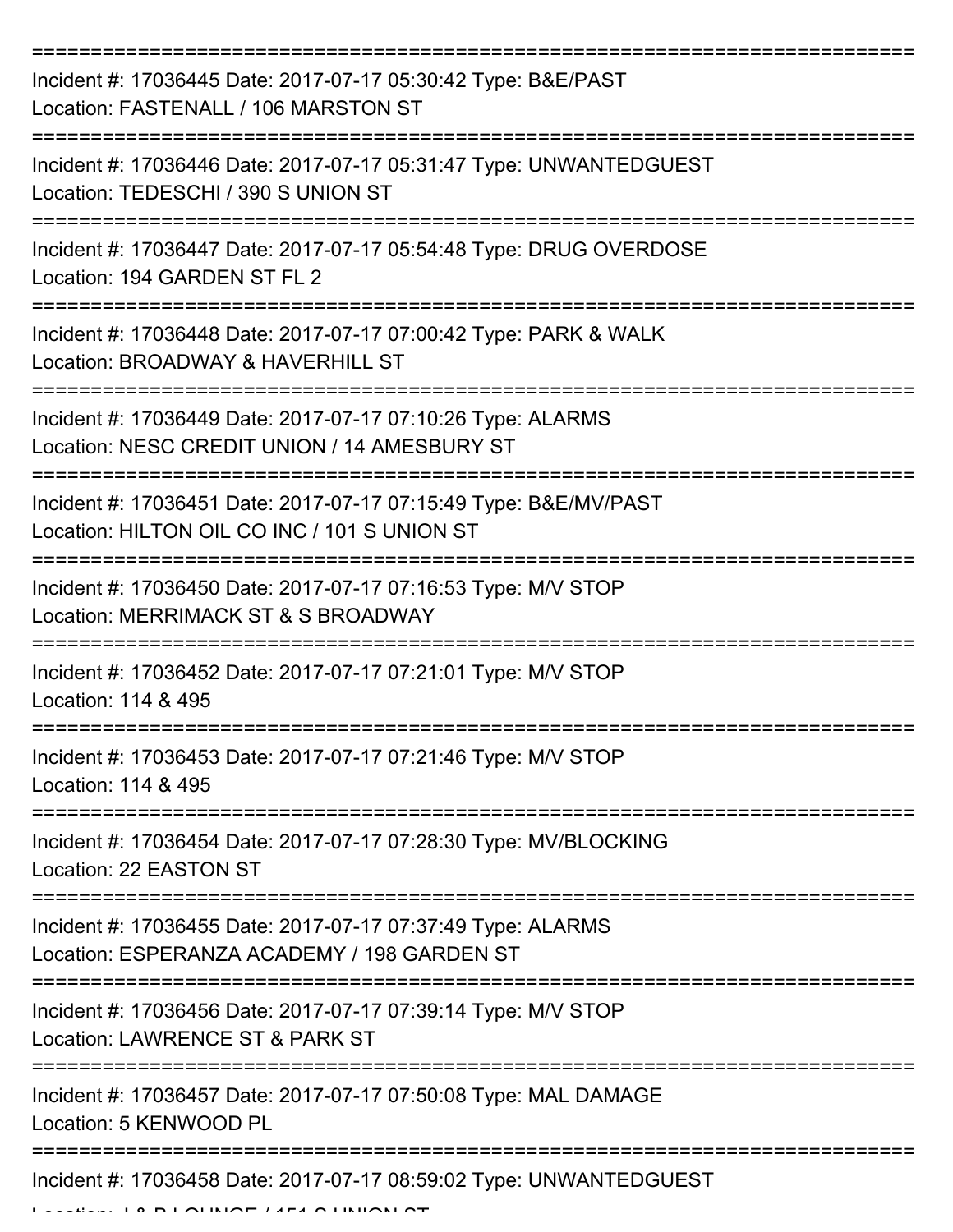| Incident #: 17036445 Date: 2017-07-17 05:30:42 Type: B&E/PAST<br>Location: FASTENALL / 106 MARSTON ST                            |
|----------------------------------------------------------------------------------------------------------------------------------|
| Incident #: 17036446 Date: 2017-07-17 05:31:47 Type: UNWANTEDGUEST<br>Location: TEDESCHI / 390 S UNION ST                        |
| Incident #: 17036447 Date: 2017-07-17 05:54:48 Type: DRUG OVERDOSE<br>Location: 194 GARDEN ST FL 2                               |
| Incident #: 17036448 Date: 2017-07-17 07:00:42 Type: PARK & WALK<br>Location: BROADWAY & HAVERHILL ST                            |
| Incident #: 17036449 Date: 2017-07-17 07:10:26 Type: ALARMS<br>Location: NESC CREDIT UNION / 14 AMESBURY ST<br>================= |
| Incident #: 17036451 Date: 2017-07-17 07:15:49 Type: B&E/MV/PAST<br>Location: HILTON OIL CO INC / 101 S UNION ST                 |
| Incident #: 17036450 Date: 2017-07-17 07:16:53 Type: M/V STOP<br>Location: MERRIMACK ST & S BROADWAY                             |
| Incident #: 17036452 Date: 2017-07-17 07:21:01 Type: M/V STOP<br>Location: 114 & 495                                             |
| Incident #: 17036453 Date: 2017-07-17 07:21:46 Type: M/V STOP<br>Location: 114 & 495                                             |
| Incident #: 17036454 Date: 2017-07-17 07:28:30 Type: MV/BLOCKING<br>Location: 22 EASTON ST                                       |
| Incident #: 17036455 Date: 2017-07-17 07:37:49 Type: ALARMS<br>Location: ESPERANZA ACADEMY / 198 GARDEN ST                       |
| Incident #: 17036456 Date: 2017-07-17 07:39:14 Type: M/V STOP<br>Location: LAWRENCE ST & PARK ST                                 |
| Incident #: 17036457 Date: 2017-07-17 07:50:08 Type: MAL DAMAGE<br>Location: 5 KENWOOD PL                                        |
| Incident #: 17036458 Date: 2017-07-17 08:59:02 Type: UNWANTEDGUEST<br><b>DI AURIAE <i>LIEA</i> AURILARI AT</b>                   |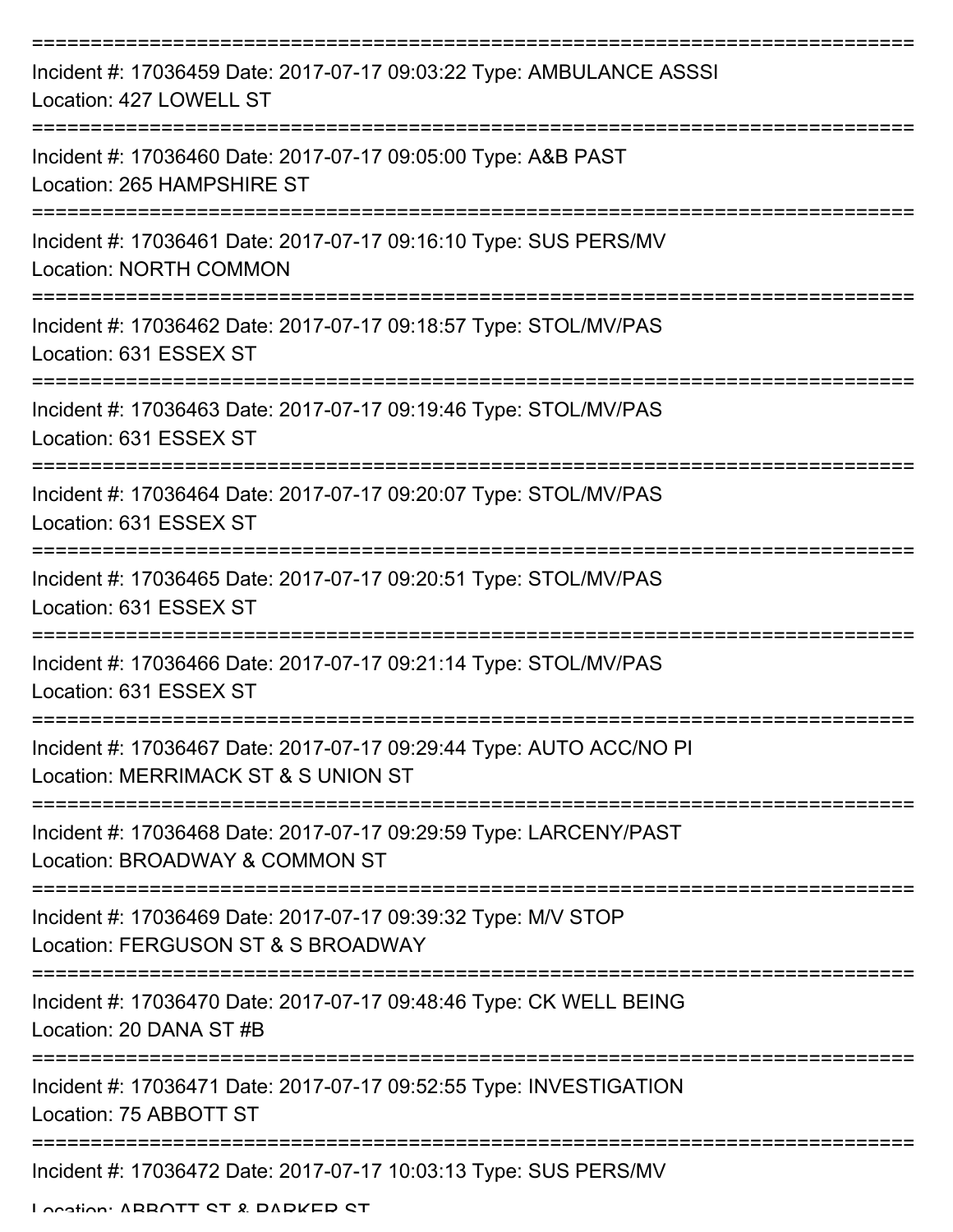| Incident #: 17036459 Date: 2017-07-17 09:03:22 Type: AMBULANCE ASSSI<br>Location: 427 LOWELL ST            |
|------------------------------------------------------------------------------------------------------------|
| Incident #: 17036460 Date: 2017-07-17 09:05:00 Type: A&B PAST<br>Location: 265 HAMPSHIRE ST                |
| Incident #: 17036461 Date: 2017-07-17 09:16:10 Type: SUS PERS/MV<br><b>Location: NORTH COMMON</b>          |
| Incident #: 17036462 Date: 2017-07-17 09:18:57 Type: STOL/MV/PAS<br>Location: 631 ESSEX ST                 |
| Incident #: 17036463 Date: 2017-07-17 09:19:46 Type: STOL/MV/PAS<br>Location: 631 ESSEX ST                 |
| Incident #: 17036464 Date: 2017-07-17 09:20:07 Type: STOL/MV/PAS<br>Location: 631 ESSEX ST                 |
| Incident #: 17036465 Date: 2017-07-17 09:20:51 Type: STOL/MV/PAS<br>Location: 631 ESSEX ST                 |
| Incident #: 17036466 Date: 2017-07-17 09:21:14 Type: STOL/MV/PAS<br>Location: 631 ESSEX ST                 |
| Incident #: 17036467 Date: 2017-07-17 09:29:44 Type: AUTO ACC/NO PI<br>Location: MERRIMACK ST & S UNION ST |
| Incident #: 17036468 Date: 2017-07-17 09:29:59 Type: LARCENY/PAST<br>Location: BROADWAY & COMMON ST        |
| Incident #: 17036469 Date: 2017-07-17 09:39:32 Type: M/V STOP<br>Location: FERGUSON ST & S BROADWAY        |
| Incident #: 17036470 Date: 2017-07-17 09:48:46 Type: CK WELL BEING<br>Location: 20 DANA ST #B              |
| Incident #: 17036471 Date: 2017-07-17 09:52:55 Type: INVESTIGATION<br>Location: 75 ABBOTT ST               |
| Incident #: 17036472 Date: 2017-07-17 10:03:13 Type: SUS PERS/MV                                           |

Location: ABBOTT CT & DADKED CT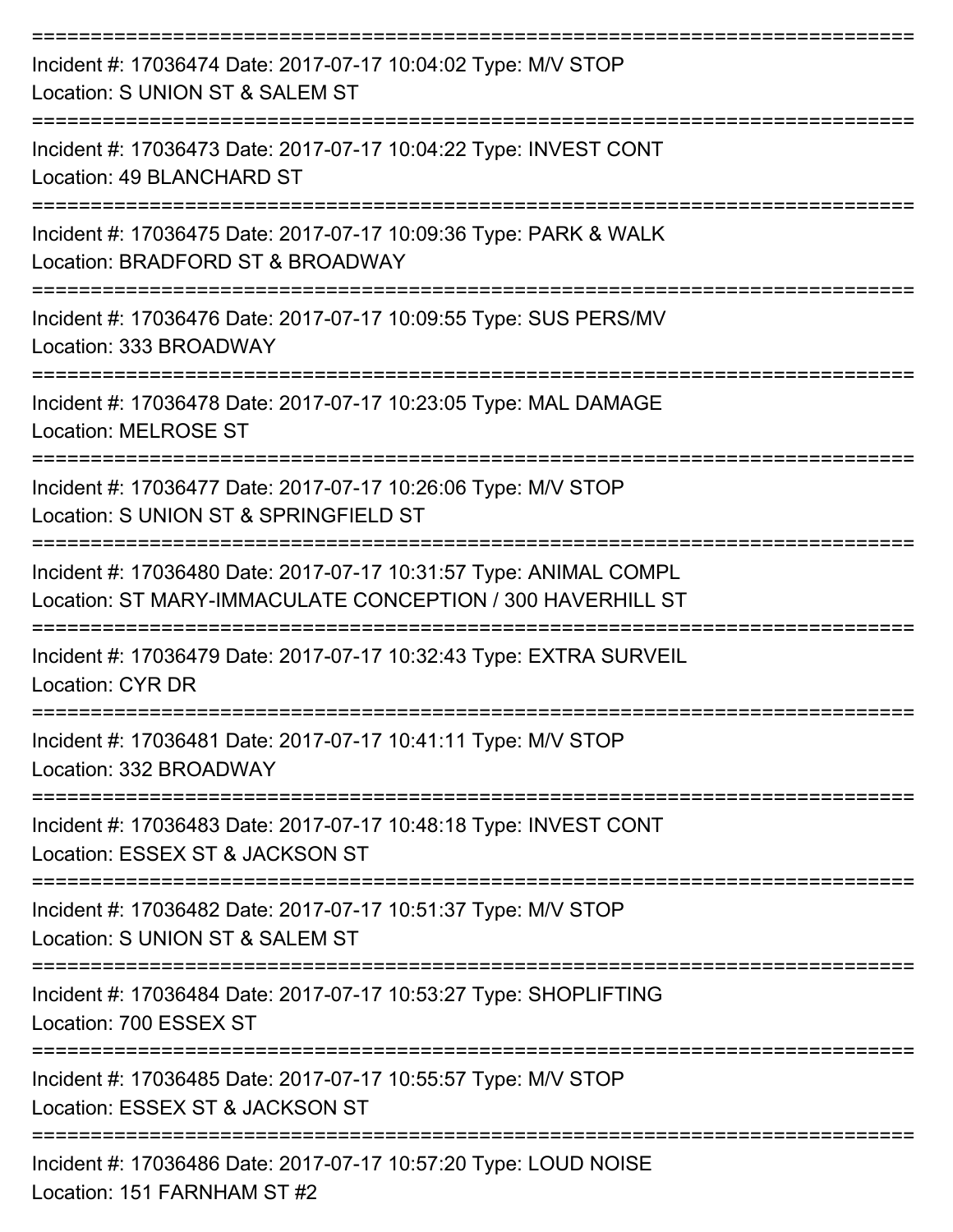| Incident #: 17036474 Date: 2017-07-17 10:04:02 Type: M/V STOP<br>Location: S UNION ST & SALEM ST                                                     |
|------------------------------------------------------------------------------------------------------------------------------------------------------|
| Incident #: 17036473 Date: 2017-07-17 10:04:22 Type: INVEST CONT<br>Location: 49 BLANCHARD ST                                                        |
| Incident #: 17036475 Date: 2017-07-17 10:09:36 Type: PARK & WALK<br>Location: BRADFORD ST & BROADWAY                                                 |
| Incident #: 17036476 Date: 2017-07-17 10:09:55 Type: SUS PERS/MV<br>Location: 333 BROADWAY                                                           |
| Incident #: 17036478 Date: 2017-07-17 10:23:05 Type: MAL DAMAGE<br><b>Location: MELROSE ST</b>                                                       |
| Incident #: 17036477 Date: 2017-07-17 10:26:06 Type: M/V STOP<br>Location: S UNION ST & SPRINGFIELD ST                                               |
| Incident #: 17036480 Date: 2017-07-17 10:31:57 Type: ANIMAL COMPL<br>Location: ST MARY-IMMACULATE CONCEPTION / 300 HAVERHILL ST                      |
| Incident #: 17036479 Date: 2017-07-17 10:32:43 Type: EXTRA SURVEIL<br><b>Location: CYR DR</b>                                                        |
| Incident #: 17036481 Date: 2017-07-17 10:41:11 Type: M/V STOP<br>Location: 332 BROADWAY                                                              |
| ================<br>=========================<br>Incident #: 17036483 Date: 2017-07-17 10:48:18 Type: INVEST CONT<br>Location: ESSEX ST & JACKSON ST |
| Incident #: 17036482 Date: 2017-07-17 10:51:37 Type: M/V STOP<br>Location: S UNION ST & SALEM ST                                                     |
| Incident #: 17036484 Date: 2017-07-17 10:53:27 Type: SHOPLIFTING<br>Location: 700 ESSEX ST                                                           |
| Incident #: 17036485 Date: 2017-07-17 10:55:57 Type: M/V STOP<br>Location: ESSEX ST & JACKSON ST                                                     |
| Incident #: 17036486 Date: 2017-07-17 10:57:20 Type: LOUD NOISE<br>Location: 151 FARNHAM ST #2                                                       |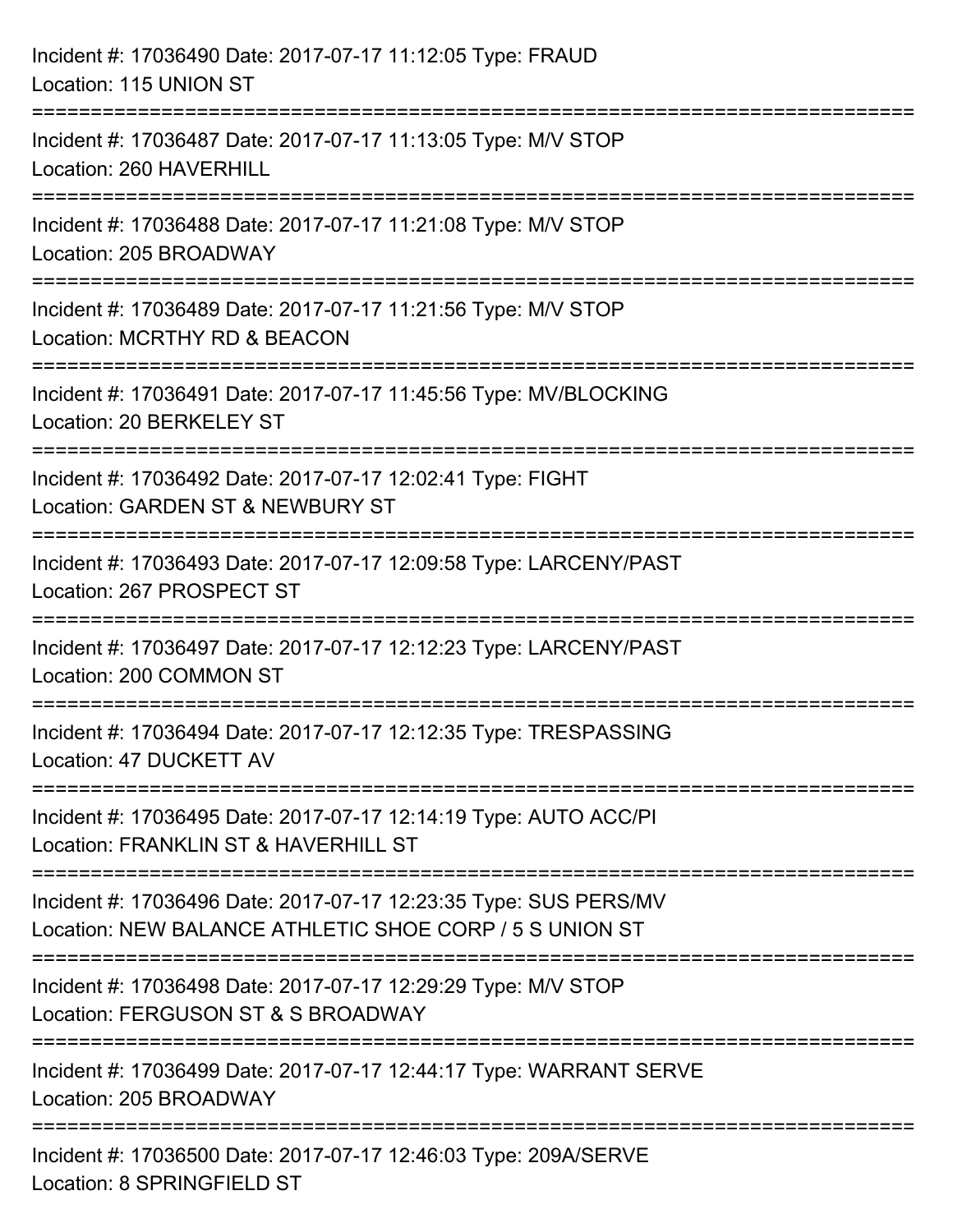| Incident #: 17036490 Date: 2017-07-17 11:12:05 Type: FRAUD<br>Location: 115 UNION ST                                              |
|-----------------------------------------------------------------------------------------------------------------------------------|
| Incident #: 17036487 Date: 2017-07-17 11:13:05 Type: M/V STOP<br>Location: 260 HAVERHILL                                          |
| Incident #: 17036488 Date: 2017-07-17 11:21:08 Type: M/V STOP<br>Location: 205 BROADWAY                                           |
| Incident #: 17036489 Date: 2017-07-17 11:21:56 Type: M/V STOP<br>Location: MCRTHY RD & BEACON                                     |
| Incident #: 17036491 Date: 2017-07-17 11:45:56 Type: MV/BLOCKING<br>Location: 20 BERKELEY ST                                      |
| =================<br>Incident #: 17036492 Date: 2017-07-17 12:02:41 Type: FIGHT<br>Location: GARDEN ST & NEWBURY ST               |
| Incident #: 17036493 Date: 2017-07-17 12:09:58 Type: LARCENY/PAST<br>Location: 267 PROSPECT ST                                    |
| Incident #: 17036497 Date: 2017-07-17 12:12:23 Type: LARCENY/PAST<br>Location: 200 COMMON ST                                      |
| Incident #: 17036494 Date: 2017-07-17 12:12:35 Type: TRESPASSING<br>Location: 47 DUCKETT AV                                       |
| Incident #: 17036495 Date: 2017-07-17 12:14:19 Type: AUTO ACC/PI<br>Location: FRANKLIN ST & HAVERHILL ST                          |
| Incident #: 17036496 Date: 2017-07-17 12:23:35 Type: SUS PERS/MV<br>Location: NEW BALANCE ATHLETIC SHOE CORP / 5 S UNION ST       |
| ==========================<br>Incident #: 17036498 Date: 2017-07-17 12:29:29 Type: M/V STOP<br>Location: FERGUSON ST & S BROADWAY |
| Incident #: 17036499 Date: 2017-07-17 12:44:17 Type: WARRANT SERVE<br>Location: 205 BROADWAY                                      |
| Incident #: 17036500 Date: 2017-07-17 12:46:03 Type: 209A/SERVE<br>Location: 8 SPRINGFIELD ST                                     |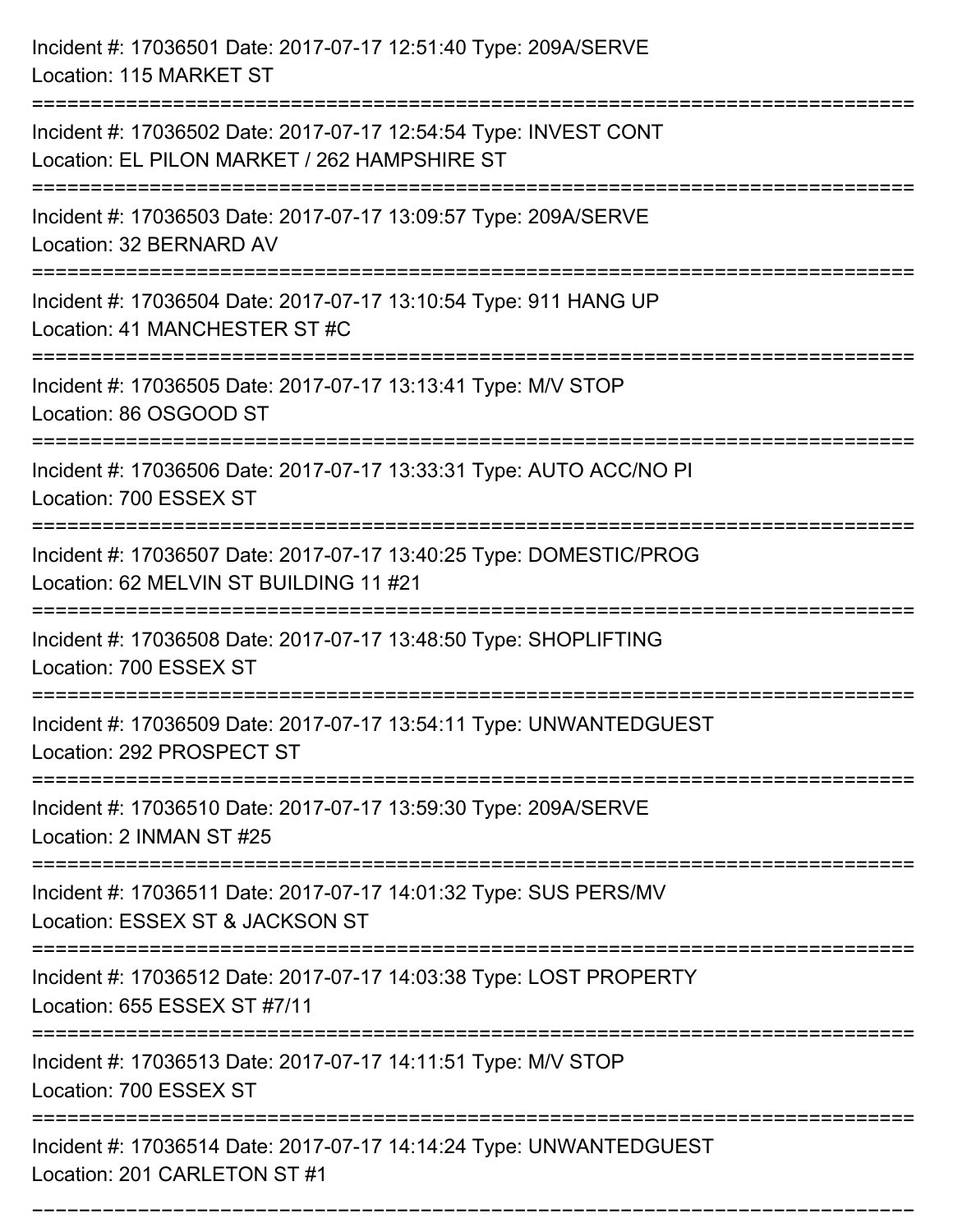| Incident #: 17036501 Date: 2017-07-17 12:51:40 Type: 209A/SERVE<br>Location: 115 MARKET ST                                             |
|----------------------------------------------------------------------------------------------------------------------------------------|
| Incident #: 17036502 Date: 2017-07-17 12:54:54 Type: INVEST CONT<br>Location: EL PILON MARKET / 262 HAMPSHIRE ST                       |
| Incident #: 17036503 Date: 2017-07-17 13:09:57 Type: 209A/SERVE<br>Location: 32 BERNARD AV<br>:=============================           |
| Incident #: 17036504 Date: 2017-07-17 13:10:54 Type: 911 HANG UP<br>Location: 41 MANCHESTER ST #C                                      |
| Incident #: 17036505 Date: 2017-07-17 13:13:41 Type: M/V STOP<br>Location: 86 OSGOOD ST                                                |
| Incident #: 17036506 Date: 2017-07-17 13:33:31 Type: AUTO ACC/NO PI<br>Location: 700 ESSEX ST                                          |
| Incident #: 17036507 Date: 2017-07-17 13:40:25 Type: DOMESTIC/PROG<br>Location: 62 MELVIN ST BUILDING 11 #21<br>====================== |
| Incident #: 17036508 Date: 2017-07-17 13:48:50 Type: SHOPLIFTING<br>Location: 700 ESSEX ST                                             |
| Incident #: 17036509 Date: 2017-07-17 13:54:11 Type: UNWANTEDGUEST<br>Location: 292 PROSPECT ST                                        |
| Incident #: 17036510 Date: 2017-07-17 13:59:30 Type: 209A/SERVE<br>Location: 2 INMAN ST #25                                            |
| Incident #: 17036511 Date: 2017-07-17 14:01:32 Type: SUS PERS/MV<br>Location: ESSEX ST & JACKSON ST                                    |
| Incident #: 17036512 Date: 2017-07-17 14:03:38 Type: LOST PROPERTY<br>Location: 655 ESSEX ST #7/11                                     |
| Incident #: 17036513 Date: 2017-07-17 14:11:51 Type: M/V STOP<br>Location: 700 ESSEX ST                                                |
| Incident #: 17036514 Date: 2017-07-17 14:14:24 Type: UNWANTEDGUEST<br>Location: 201 CARLETON ST #1                                     |

===========================================================================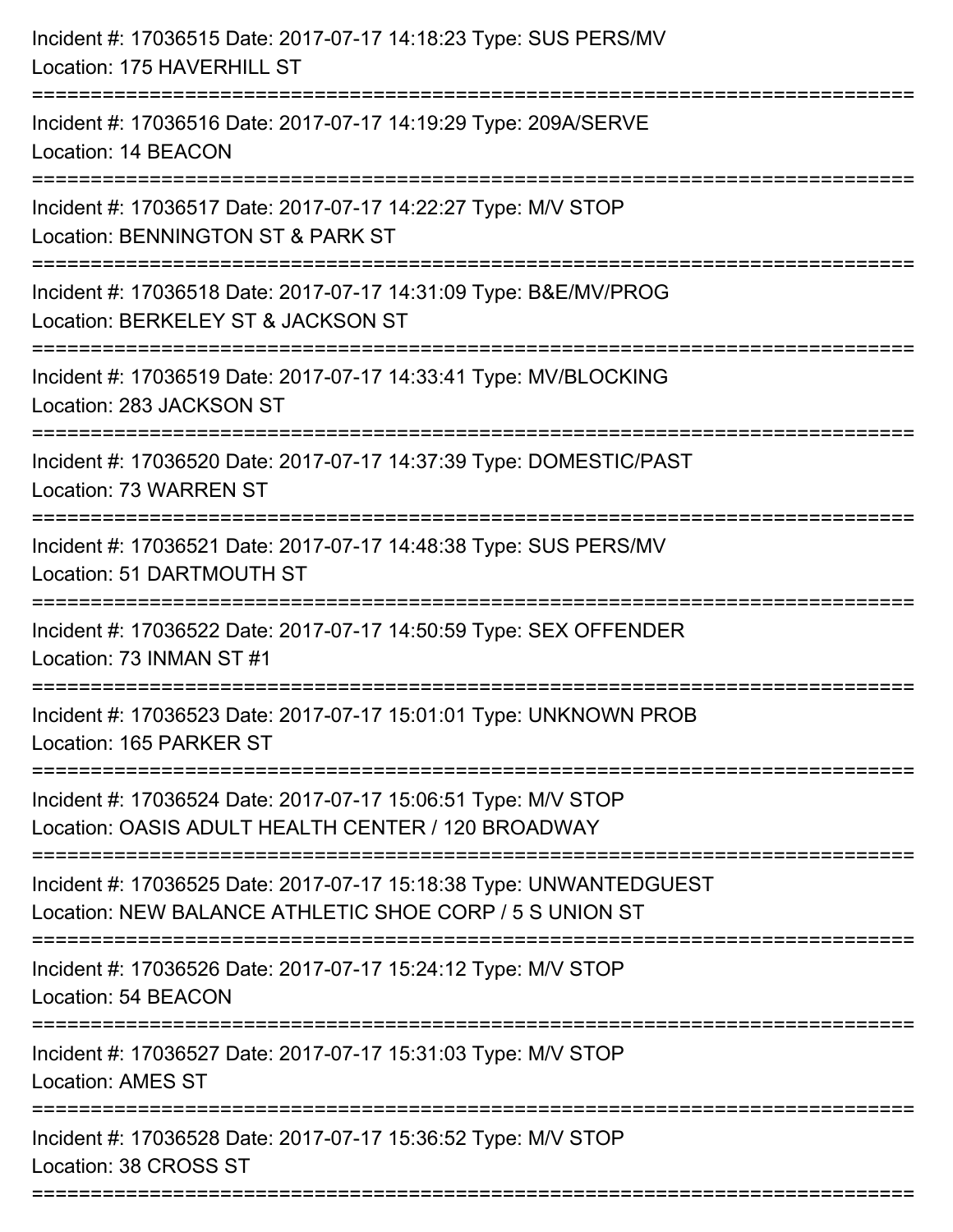| Incident #: 17036515 Date: 2017-07-17 14:18:23 Type: SUS PERS/MV<br>Location: 175 HAVERHILL ST                                      |
|-------------------------------------------------------------------------------------------------------------------------------------|
| Incident #: 17036516 Date: 2017-07-17 14:19:29 Type: 209A/SERVE<br>Location: 14 BEACON                                              |
| Incident #: 17036517 Date: 2017-07-17 14:22:27 Type: M/V STOP<br>Location: BENNINGTON ST & PARK ST<br>:============================ |
| Incident #: 17036518 Date: 2017-07-17 14:31:09 Type: B&E/MV/PROG<br>Location: BERKELEY ST & JACKSON ST                              |
| Incident #: 17036519 Date: 2017-07-17 14:33:41 Type: MV/BLOCKING<br>Location: 283 JACKSON ST                                        |
| Incident #: 17036520 Date: 2017-07-17 14:37:39 Type: DOMESTIC/PAST<br>Location: 73 WARREN ST                                        |
| Incident #: 17036521 Date: 2017-07-17 14:48:38 Type: SUS PERS/MV<br>Location: 51 DARTMOUTH ST                                       |
| Incident #: 17036522 Date: 2017-07-17 14:50:59 Type: SEX OFFENDER<br>Location: 73 INMAN ST #1                                       |
| Incident #: 17036523 Date: 2017-07-17 15:01:01 Type: UNKNOWN PROB<br>Location: 165 PARKER ST                                        |
| Incident #: 17036524 Date: 2017-07-17 15:06:51 Type: M/V STOP<br>Location: OASIS ADULT HEALTH CENTER / 120 BROADWAY                 |
| Incident #: 17036525 Date: 2017-07-17 15:18:38 Type: UNWANTEDGUEST<br>Location: NEW BALANCE ATHLETIC SHOE CORP / 5 S UNION ST       |
| Incident #: 17036526 Date: 2017-07-17 15:24:12 Type: M/V STOP<br>Location: 54 BEACON                                                |
| Incident #: 17036527 Date: 2017-07-17 15:31:03 Type: M/V STOP<br><b>Location: AMES ST</b>                                           |
| Incident #: 17036528 Date: 2017-07-17 15:36:52 Type: M/V STOP<br>Location: 38 CROSS ST                                              |
|                                                                                                                                     |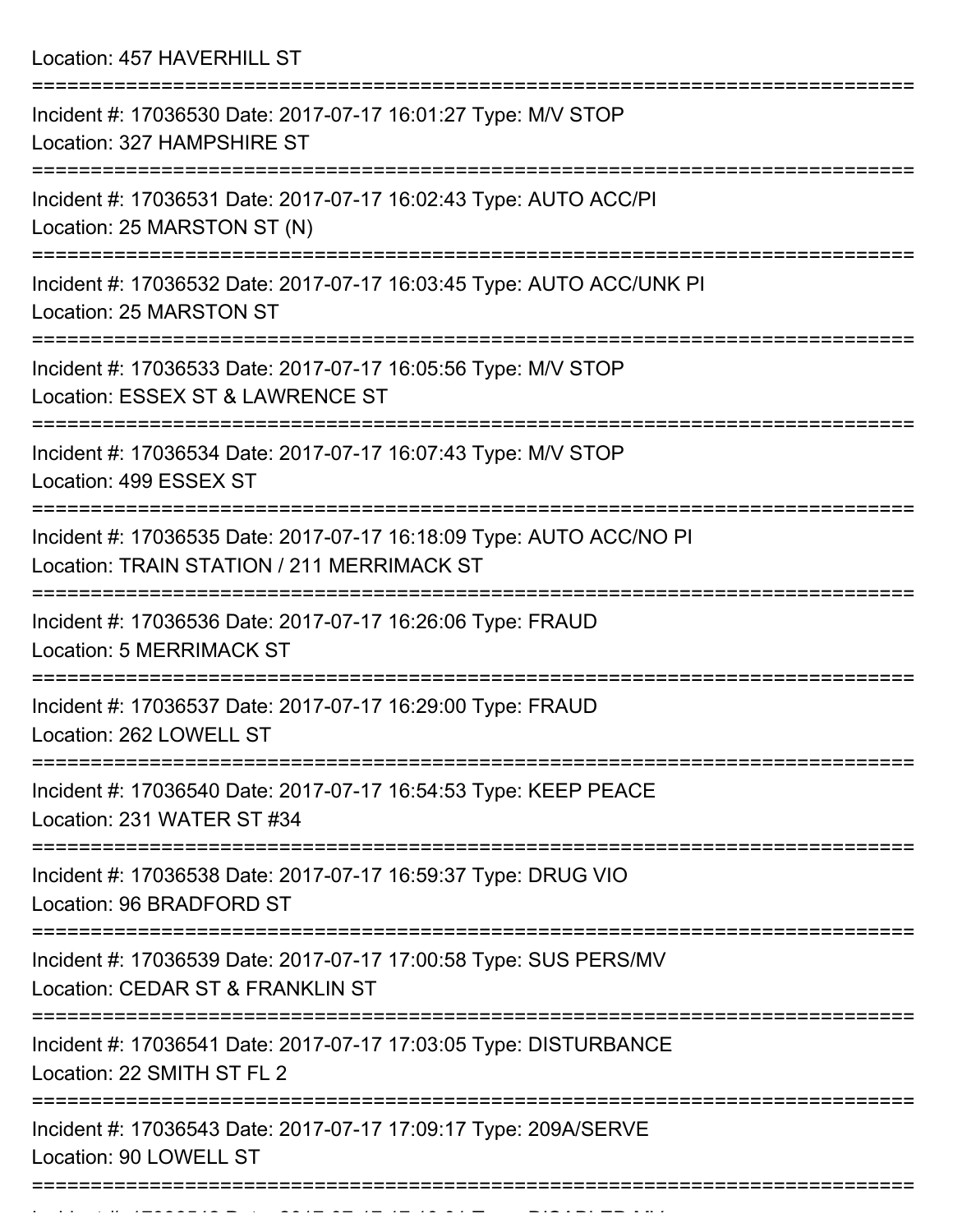Location: 457 HAVERHILL ST

| Incident #: 17036530 Date: 2017-07-17 16:01:27 Type: M/V STOP<br>Location: 327 HAMPSHIRE ST                       |
|-------------------------------------------------------------------------------------------------------------------|
| Incident #: 17036531 Date: 2017-07-17 16:02:43 Type: AUTO ACC/PI<br>Location: 25 MARSTON ST (N)                   |
| Incident #: 17036532 Date: 2017-07-17 16:03:45 Type: AUTO ACC/UNK PI<br>Location: 25 MARSTON ST                   |
| Incident #: 17036533 Date: 2017-07-17 16:05:56 Type: M/V STOP<br>Location: ESSEX ST & LAWRENCE ST                 |
| Incident #: 17036534 Date: 2017-07-17 16:07:43 Type: M/V STOP<br>Location: 499 ESSEX ST                           |
| Incident #: 17036535 Date: 2017-07-17 16:18:09 Type: AUTO ACC/NO PI<br>Location: TRAIN STATION / 211 MERRIMACK ST |
| Incident #: 17036536 Date: 2017-07-17 16:26:06 Type: FRAUD<br><b>Location: 5 MERRIMACK ST</b>                     |
| Incident #: 17036537 Date: 2017-07-17 16:29:00 Type: FRAUD<br>Location: 262 LOWELL ST                             |
| Incident #: 17036540 Date: 2017-07-17 16:54:53 Type: KEEP PEACE<br>Location: 231 WATER ST #34                     |
| ===============<br>Incident #: 17036538 Date: 2017-07-17 16:59:37 Type: DRUG VIO<br>Location: 96 BRADFORD ST      |
| Incident #: 17036539 Date: 2017-07-17 17:00:58 Type: SUS PERS/MV<br>Location: CEDAR ST & FRANKLIN ST              |
| Incident #: 17036541 Date: 2017-07-17 17:03:05 Type: DISTURBANCE<br>Location: 22 SMITH ST FL 2                    |
| Incident #: 17036543 Date: 2017-07-17 17:09:17 Type: 209A/SERVE<br>Location: 90 LOWELL ST                         |
|                                                                                                                   |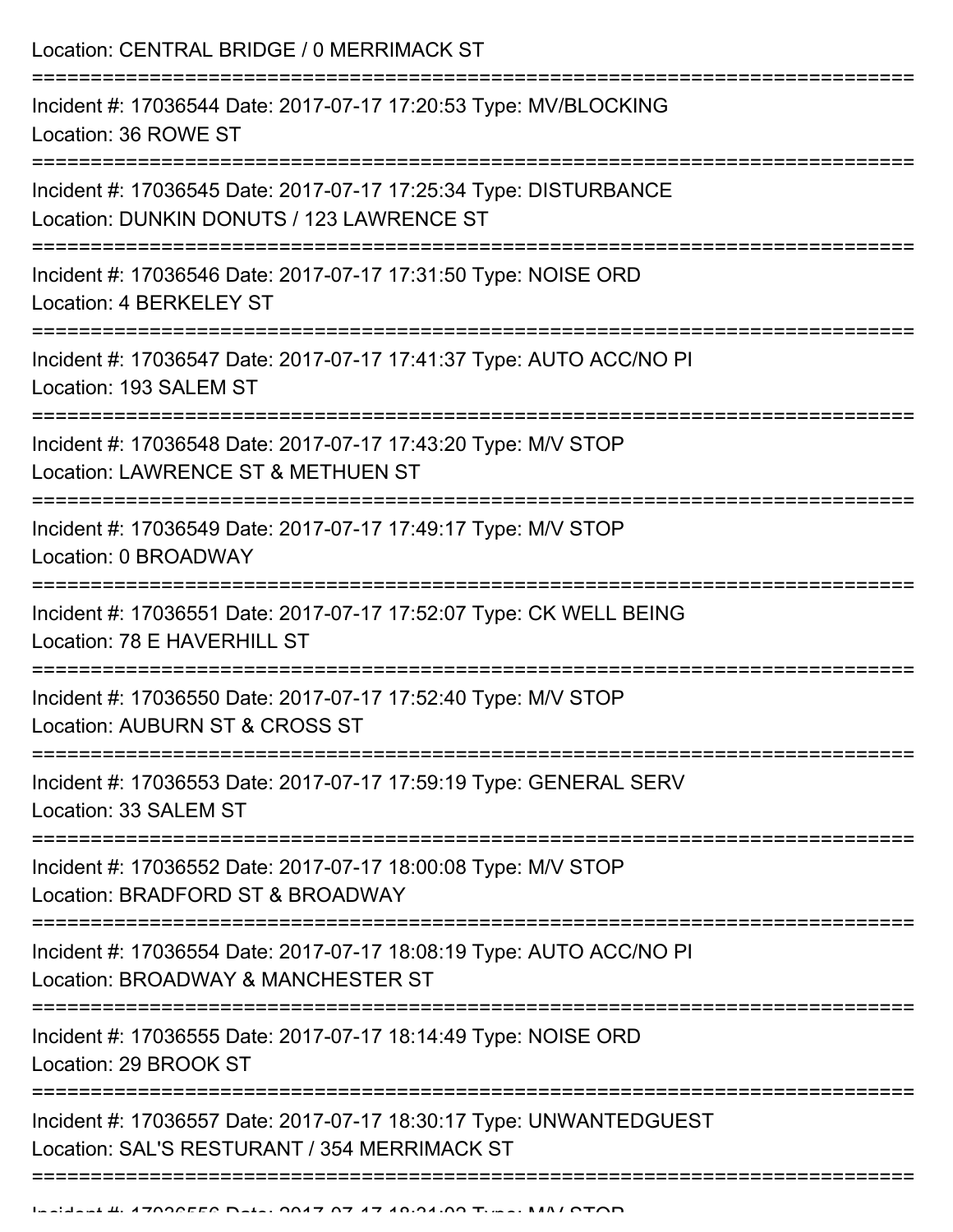Location: CENTRAL BRIDGE / 0 MERRIMACK ST =========================================================================== Incident #: 17036544 Date: 2017-07-17 17:20:53 Type: MV/BLOCKING Location: 36 ROWE ST =========================================================================== Incident #: 17036545 Date: 2017-07-17 17:25:34 Type: DISTURBANCE Location: DUNKIN DONUTS / 123 LAWRENCE ST =========================================================================== Incident #: 17036546 Date: 2017-07-17 17:31:50 Type: NOISE ORD Location: 4 BERKELEY ST =========================================================================== Incident #: 17036547 Date: 2017-07-17 17:41:37 Type: AUTO ACC/NO PI Location: 193 SALEM ST =========================================================================== Incident #: 17036548 Date: 2017-07-17 17:43:20 Type: M/V STOP Location: LAWRENCE ST & METHUEN ST =========================================================================== Incident #: 17036549 Date: 2017-07-17 17:49:17 Type: M/V STOP Location: 0 BROADWAY =========================================================================== Incident #: 17036551 Date: 2017-07-17 17:52:07 Type: CK WELL BEING Location: 78 E HAVERHILL ST =========================================================================== Incident #: 17036550 Date: 2017-07-17 17:52:40 Type: M/V STOP Location: AUBURN ST & CROSS ST =========================================================================== Incident #: 17036553 Date: 2017-07-17 17:59:19 Type: GENERAL SERV Location: 33 SALEM ST =========================================================================== Incident #: 17036552 Date: 2017-07-17 18:00:08 Type: M/V STOP Location: BRADFORD ST & BROADWAY =========================================================================== Incident #: 17036554 Date: 2017-07-17 18:08:19 Type: AUTO ACC/NO PI Location: BROADWAY & MANCHESTER ST =========================================================================== Incident #: 17036555 Date: 2017-07-17 18:14:49 Type: NOISE ORD Location: 29 BROOK ST =========================================================================== Incident #: 17036557 Date: 2017-07-17 18:30:17 Type: UNWANTEDGUEST Location: SAL'S RESTURANT / 354 MERRIMACK ST =============================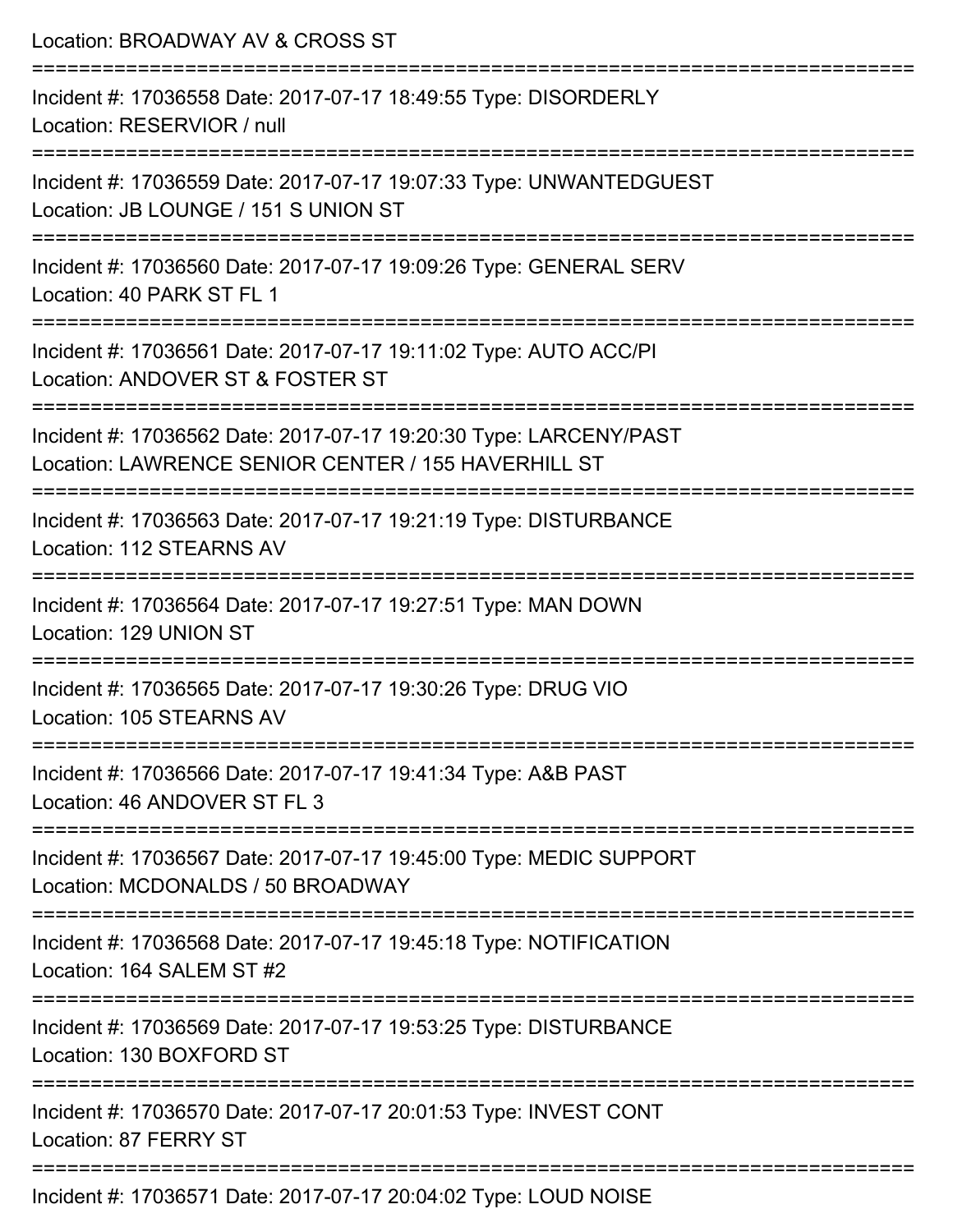| Location: BROADWAY AV & CROSS ST                                                                                                                                                     |
|--------------------------------------------------------------------------------------------------------------------------------------------------------------------------------------|
| Incident #: 17036558 Date: 2017-07-17 18:49:55 Type: DISORDERLY<br>Location: RESERVIOR / null<br>:==================================                                                 |
| Incident #: 17036559 Date: 2017-07-17 19:07:33 Type: UNWANTEDGUEST<br>Location: JB LOUNGE / 151 S UNION ST                                                                           |
| Incident #: 17036560 Date: 2017-07-17 19:09:26 Type: GENERAL SERV<br>Location: 40 PARK ST FL 1                                                                                       |
| ============================<br>Incident #: 17036561 Date: 2017-07-17 19:11:02 Type: AUTO ACC/PI<br>Location: ANDOVER ST & FOSTER ST                                                 |
| Incident #: 17036562 Date: 2017-07-17 19:20:30 Type: LARCENY/PAST<br>Location: LAWRENCE SENIOR CENTER / 155 HAVERHILL ST<br>=================================<br>------------------- |
| Incident #: 17036563 Date: 2017-07-17 19:21:19 Type: DISTURBANCE<br>Location: 112 STEARNS AV                                                                                         |
| Incident #: 17036564 Date: 2017-07-17 19:27:51 Type: MAN DOWN<br>Location: 129 UNION ST<br>---------------------------------                                                         |
| Incident #: 17036565 Date: 2017-07-17 19:30:26 Type: DRUG VIO<br>Location: 105 STEARNS AV<br>===================================                                                     |
| Incident #: 17036566 Date: 2017-07-17 19:41:34 Type: A&B PAST<br>Location: 46 ANDOVER ST FL 3                                                                                        |
| :==============<br>Incident #: 17036567 Date: 2017-07-17 19:45:00 Type: MEDIC SUPPORT<br>Location: MCDONALDS / 50 BROADWAY                                                           |
| Incident #: 17036568 Date: 2017-07-17 19:45:18 Type: NOTIFICATION<br>Location: 164 SALEM ST #2                                                                                       |
| Incident #: 17036569 Date: 2017-07-17 19:53:25 Type: DISTURBANCE<br>Location: 130 BOXFORD ST                                                                                         |
| Incident #: 17036570 Date: 2017-07-17 20:01:53 Type: INVEST CONT<br>Location: 87 FERRY ST                                                                                            |
| =====================<br>Incident #: 17036571 Date: 2017-07-17 20:04:02 Type: LOUD NOISE                                                                                             |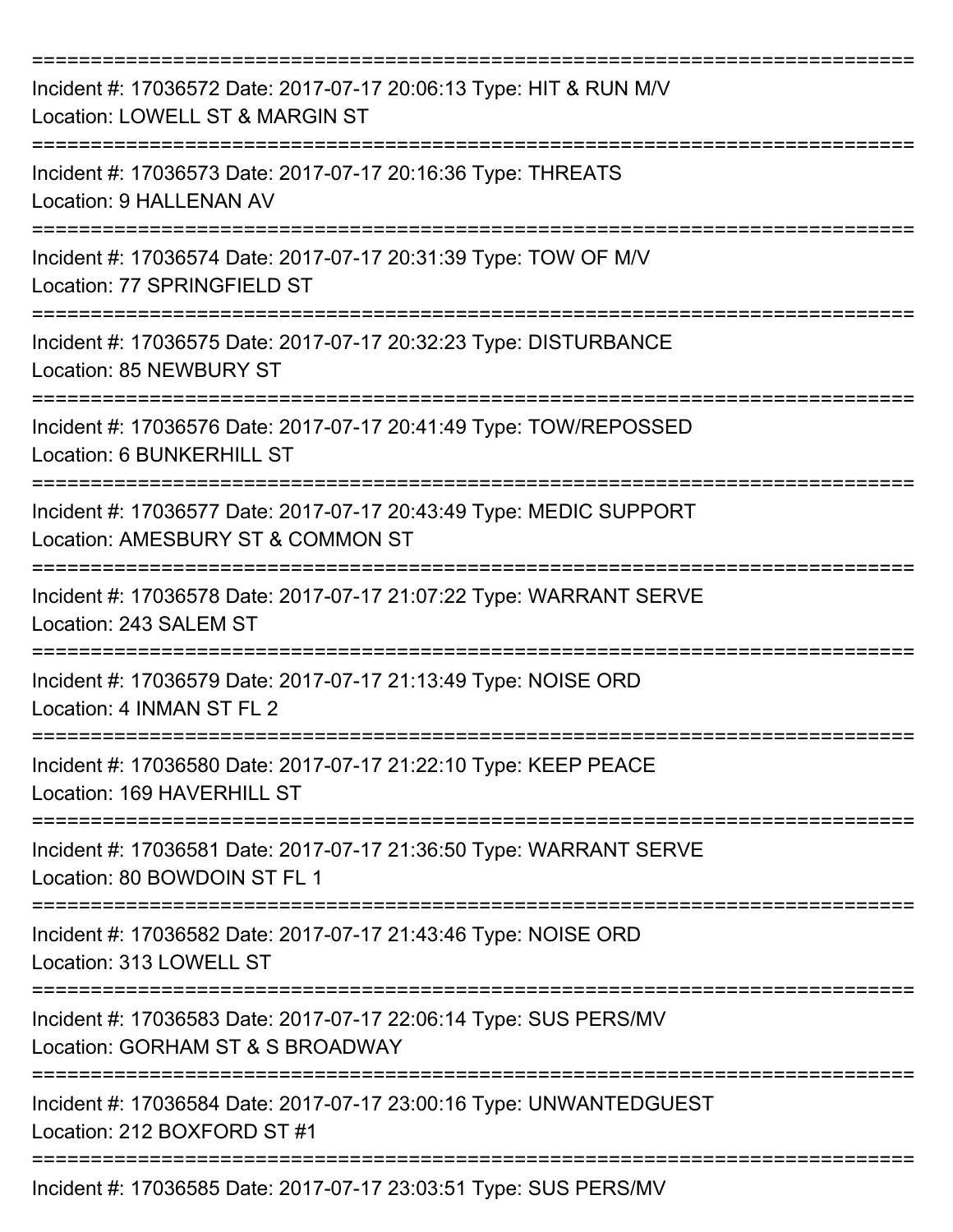| Incident #: 17036572 Date: 2017-07-17 20:06:13 Type: HIT & RUN M/V<br>Location: LOWELL ST & MARGIN ST   |
|---------------------------------------------------------------------------------------------------------|
| Incident #: 17036573 Date: 2017-07-17 20:16:36 Type: THREATS<br><b>Location: 9 HALLENAN AV</b>          |
| Incident #: 17036574 Date: 2017-07-17 20:31:39 Type: TOW OF M/V<br>Location: 77 SPRINGFIELD ST          |
| Incident #: 17036575 Date: 2017-07-17 20:32:23 Type: DISTURBANCE<br>Location: 85 NEWBURY ST             |
| Incident #: 17036576 Date: 2017-07-17 20:41:49 Type: TOW/REPOSSED<br>Location: 6 BUNKERHILL ST          |
| Incident #: 17036577 Date: 2017-07-17 20:43:49 Type: MEDIC SUPPORT<br>Location: AMESBURY ST & COMMON ST |
| Incident #: 17036578 Date: 2017-07-17 21:07:22 Type: WARRANT SERVE<br>Location: 243 SALEM ST            |
| Incident #: 17036579 Date: 2017-07-17 21:13:49 Type: NOISE ORD<br>Location: 4 INMAN ST FL 2             |
| Incident #: 17036580 Date: 2017-07-17 21:22:10 Type: KEEP PEACE<br>Location: 169 HAVERHILL ST           |
| Incident #: 17036581 Date: 2017-07-17 21:36:50 Type: WARRANT SERVE<br>Location: 80 BOWDOIN ST FL 1      |
| Incident #: 17036582 Date: 2017-07-17 21:43:46 Type: NOISE ORD<br>Location: 313 LOWELL ST               |
| Incident #: 17036583 Date: 2017-07-17 22:06:14 Type: SUS PERS/MV<br>Location: GORHAM ST & S BROADWAY    |
| Incident #: 17036584 Date: 2017-07-17 23:00:16 Type: UNWANTEDGUEST<br>Location: 212 BOXFORD ST #1       |
| Incident #: 17036585 Date: 2017-07-17 23:03:51 Type: SUS PERS/MV                                        |